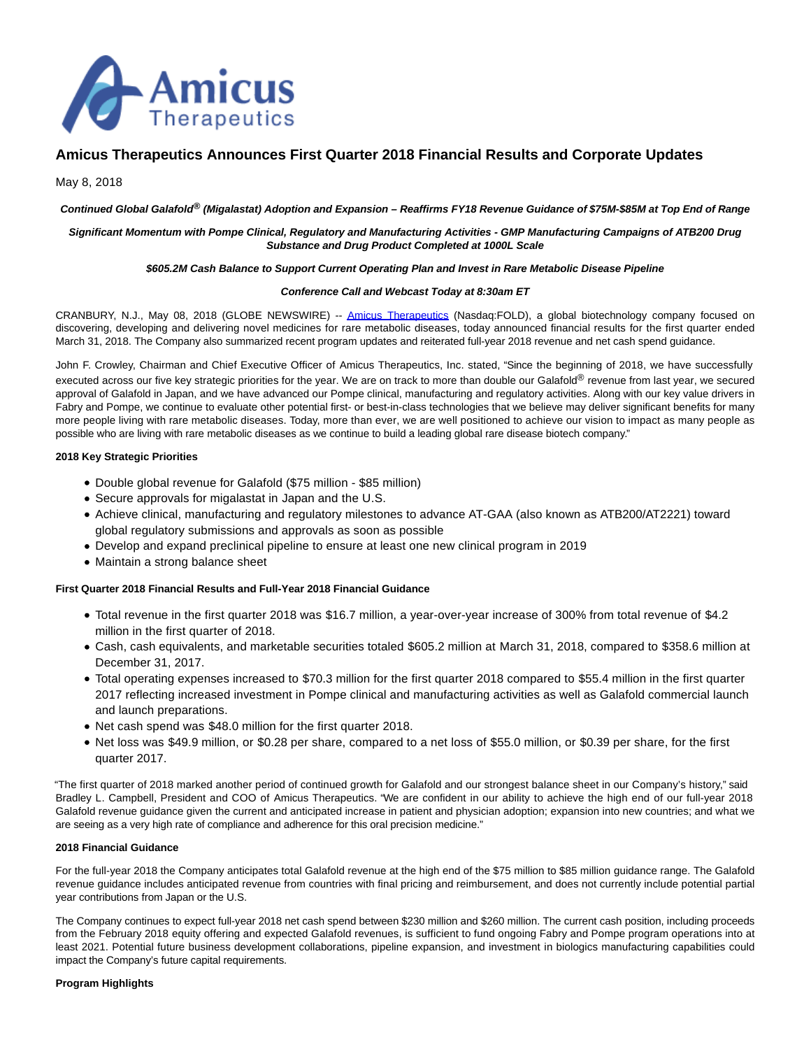

# **Amicus Therapeutics Announces First Quarter 2018 Financial Results and Corporate Updates**

## May 8, 2018

#### **Continued Global Galafold® (Migalastat) Adoption and Expansion – Reaffirms FY18 Revenue Guidance of \$75M-\$85M at Top End of Range**

#### **Significant Momentum with Pompe Clinical, Regulatory and Manufacturing Activities - GMP Manufacturing Campaigns of ATB200 Drug Substance and Drug Product Completed at 1000L Scale**

#### **\$605.2M Cash Balance to Support Current Operating Plan and Invest in Rare Metabolic Disease Pipeline**

#### **Conference Call and Webcast Today at 8:30am ET**

CRANBURY, N.J., May 08, 2018 (GLOBE NEWSWIRE) -- [Amicus Therapeutics](https://www.globenewswire.com/Tracker?data=hicPcqPQy8nxQ_WKVbaEeT0HJTsQrNqRIPrF9C6-ZjnLkmnfCoBbcutlG_1GUhL2ZIlzaziY0g_O2FYDahqYhJREHmQo6GJSNfGkQd4oLRA=) (Nasdaq:FOLD), a global biotechnology company focused on discovering, developing and delivering novel medicines for rare metabolic diseases, today announced financial results for the first quarter ended March 31, 2018. The Company also summarized recent program updates and reiterated full-year 2018 revenue and net cash spend guidance.

John F. Crowley, Chairman and Chief Executive Officer of Amicus Therapeutics, Inc. stated, "Since the beginning of 2018, we have successfully executed across our five key strategic priorities for the year. We are on track to more than double our Galafold® revenue from last year, we secured approval of Galafold in Japan, and we have advanced our Pompe clinical, manufacturing and regulatory activities. Along with our key value drivers in Fabry and Pompe, we continue to evaluate other potential first- or best-in-class technologies that we believe may deliver significant benefits for many more people living with rare metabolic diseases. Today, more than ever, we are well positioned to achieve our vision to impact as many people as possible who are living with rare metabolic diseases as we continue to build a leading global rare disease biotech company."

#### **2018 Key Strategic Priorities**

- Double global revenue for Galafold (\$75 million \$85 million)
- Secure approvals for migalastat in Japan and the U.S.
- Achieve clinical, manufacturing and regulatory milestones to advance AT-GAA (also known as ATB200/AT2221) toward global regulatory submissions and approvals as soon as possible
- Develop and expand preclinical pipeline to ensure at least one new clinical program in 2019
- Maintain a strong balance sheet

## **First Quarter 2018 Financial Results and Full-Year 2018 Financial Guidance**

- Total revenue in the first quarter 2018 was \$16.7 million, a year-over-year increase of 300% from total revenue of \$4.2 million in the first quarter of 2018.
- Cash, cash equivalents, and marketable securities totaled \$605.2 million at March 31, 2018, compared to \$358.6 million at December 31, 2017.
- Total operating expenses increased to \$70.3 million for the first quarter 2018 compared to \$55.4 million in the first quarter 2017 reflecting increased investment in Pompe clinical and manufacturing activities as well as Galafold commercial launch and launch preparations.
- Net cash spend was \$48.0 million for the first quarter 2018.
- Net loss was \$49.9 million, or \$0.28 per share, compared to a net loss of \$55.0 million, or \$0.39 per share, for the first quarter 2017.

"The first quarter of 2018 marked another period of continued growth for Galafold and our strongest balance sheet in our Company's history," said Bradley L. Campbell, President and COO of Amicus Therapeutics. "We are confident in our ability to achieve the high end of our full-year 2018 Galafold revenue guidance given the current and anticipated increase in patient and physician adoption; expansion into new countries; and what we are seeing as a very high rate of compliance and adherence for this oral precision medicine."

### **2018 Financial Guidance**

For the full-year 2018 the Company anticipates total Galafold revenue at the high end of the \$75 million to \$85 million guidance range. The Galafold revenue guidance includes anticipated revenue from countries with final pricing and reimbursement, and does not currently include potential partial year contributions from Japan or the U.S.

The Company continues to expect full-year 2018 net cash spend between \$230 million and \$260 million. The current cash position, including proceeds from the February 2018 equity offering and expected Galafold revenues, is sufficient to fund ongoing Fabry and Pompe program operations into at least 2021. Potential future business development collaborations, pipeline expansion, and investment in biologics manufacturing capabilities could impact the Company's future capital requirements.

### **Program Highlights**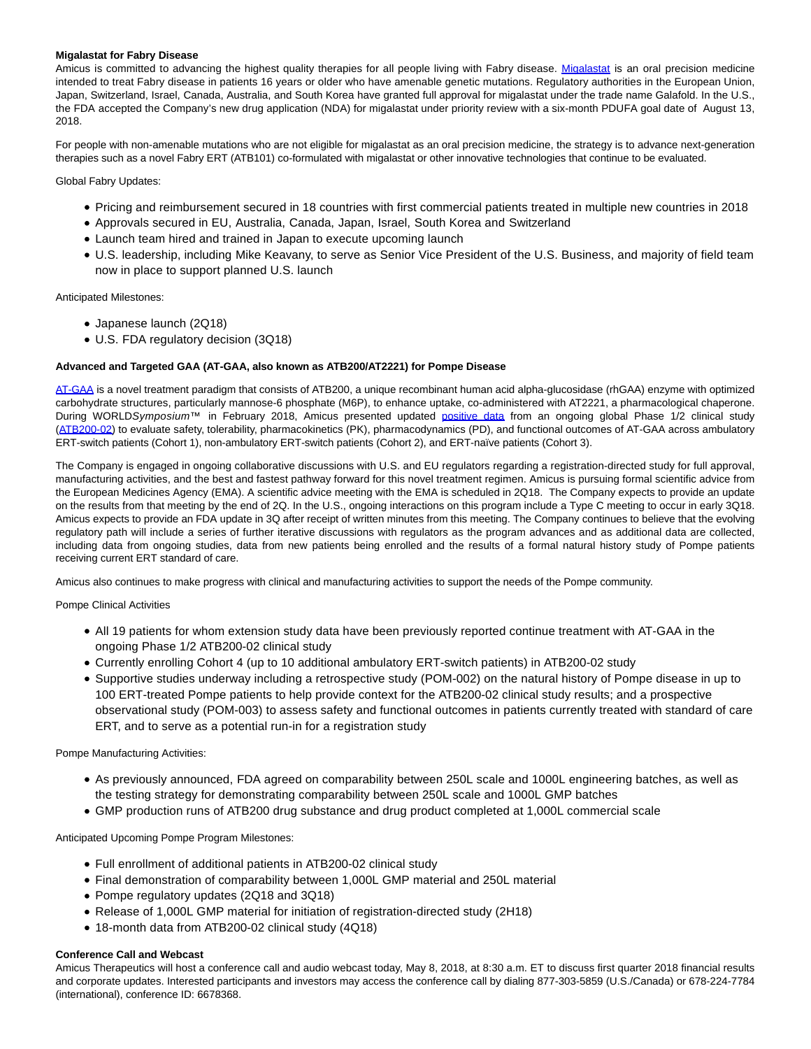### **Migalastat for Fabry Disease**

Amicus is committed to advancing the highest quality therapies for all people living with Fabry disease. [Migalastat](https://www.globenewswire.com/Tracker?data=Aa1ahuvMc0wE1Cy2XwqfG0coQBAIGO6Sl5pJe06KnFEOYZy3gzFHYsBvqvVBBvtnoAy6o7Ciiuf3lP-ZbnEapJ81ZZK7W7XFzbiCBLR7Oo8=) is an oral precision medicine intended to treat Fabry disease in patients 16 years or older who have amenable genetic mutations. Regulatory authorities in the European Union, Japan, Switzerland, Israel, Canada, Australia, and South Korea have granted full approval for migalastat under the trade name Galafold. In the U.S., the FDA accepted the Company's new drug application (NDA) for migalastat under priority review with a six-month PDUFA goal date of August 13, 2018.

For people with non-amenable mutations who are not eligible for migalastat as an oral precision medicine, the strategy is to advance next-generation therapies such as a novel Fabry ERT (ATB101) co-formulated with migalastat or other innovative technologies that continue to be evaluated.

Global Fabry Updates:

- Pricing and reimbursement secured in 18 countries with first commercial patients treated in multiple new countries in 2018
- Approvals secured in EU, Australia, Canada, Japan, Israel, South Korea and Switzerland
- Launch team hired and trained in Japan to execute upcoming launch
- U.S. leadership, including Mike Keavany, to serve as Senior Vice President of the U.S. Business, and majority of field team now in place to support planned U.S. launch

Anticipated Milestones:

- Japanese launch (2Q18)
- U.S. FDA regulatory decision (3Q18)

#### **Advanced and Targeted GAA (AT-GAA, also known as ATB200/AT2221) for Pompe Disease**

[AT-GAA i](https://www.globenewswire.com/Tracker?data=8RjDjmi4pWfzUHEiV9USfAoXcndSrTRlojjeSrudLesUj0DTpl65obqLXc3_f_hd56-Mg00WJQ7bFNBYpE7TiUEtwRfB17Lqq6n8PP_9hpJF7cEwWVGFjY3wv4nfJgBd)s a novel treatment paradigm that consists of ATB200, a unique recombinant human acid alpha-glucosidase (rhGAA) enzyme with optimized carbohydrate structures, particularly mannose-6 phosphate (M6P), to enhance uptake, co-administered with AT2221, a pharmacological chaperone. During WORLDSymposium™ in February 2018, Amicus presented updated [positive data](https://www.globenewswire.com/Tracker?data=4DMQx-18Y0NikwG9V_1O7wWkKRZ7TyAkVtN0ggRe-cpxiulv847bGy0zYcnyf9f0del4nwjF7rbhf1QZiQu7ibaWKVPUAO1k53eFlPG3_yxPl5H4HHiYlaVnJ0ZZx688LtNBmT4BEJRfpBXEioTTlR7BPXnXNqWPNZEYgypgkW4TxhtWzFH_y_nEAdEtncPRkaycughtVs7ee-xA0xAiOA==) from an ongoing global Phase 1/2 clinical study [\(ATB200-02\)](https://www.globenewswire.com/Tracker?data=4uHfF4tjuYU7X9EZ0CFlGXnjlf7DZ_w5hZ0WqCGLzmn5vl340qct2ikF-zh0KbNC35sOjDk5Z3w52yb6URdW-GdTD-Mi9ehSTIis28djIFd4uvkWAFXIGkrFJmpspXmOWiDT1Y5Vrt4ceYjkb1-2Yu3P-rwu0Qnenf_Oyulwn1scXwfpZtw3h5JnN8-4ZNREhd2w_9dTJdMW__rd-0HBeOhMLB7Hr6racUCaJTEKBqwrozybCNYAp4rG7e0qj3elhO49bO7AmOipP2LHn_4yd1o64c-R_9yU7dSOEdgqpuYrx3-8AZnMuiGrctegiiY2) to evaluate safety, tolerability, pharmacokinetics (PK), pharmacodynamics (PD), and functional outcomes of AT-GAA across ambulatory ERT-switch patients (Cohort 1), non-ambulatory ERT-switch patients (Cohort 2), and ERT-naïve patients (Cohort 3).

The Company is engaged in ongoing collaborative discussions with U.S. and EU regulators regarding a registration-directed study for full approval, manufacturing activities, and the best and fastest pathway forward for this novel treatment regimen. Amicus is pursuing formal scientific advice from the European Medicines Agency (EMA). A scientific advice meeting with the EMA is scheduled in 2Q18. The Company expects to provide an update on the results from that meeting by the end of 2Q. In the U.S., ongoing interactions on this program include a Type C meeting to occur in early 3Q18. Amicus expects to provide an FDA update in 3Q after receipt of written minutes from this meeting. The Company continues to believe that the evolving regulatory path will include a series of further iterative discussions with regulators as the program advances and as additional data are collected, including data from ongoing studies, data from new patients being enrolled and the results of a formal natural history study of Pompe patients receiving current ERT standard of care.

Amicus also continues to make progress with clinical and manufacturing activities to support the needs of the Pompe community.

Pompe Clinical Activities

- All 19 patients for whom extension study data have been previously reported continue treatment with AT-GAA in the ongoing Phase 1/2 ATB200-02 clinical study
- Currently enrolling Cohort 4 (up to 10 additional ambulatory ERT-switch patients) in ATB200-02 study
- Supportive studies underway including a retrospective study (POM-002) on the natural history of Pompe disease in up to 100 ERT-treated Pompe patients to help provide context for the ATB200-02 clinical study results; and a prospective observational study (POM-003) to assess safety and functional outcomes in patients currently treated with standard of care ERT, and to serve as a potential run-in for a registration study

Pompe Manufacturing Activities:

- As previously announced, FDA agreed on comparability between 250L scale and 1000L engineering batches, as well as the testing strategy for demonstrating comparability between 250L scale and 1000L GMP batches
- GMP production runs of ATB200 drug substance and drug product completed at 1,000L commercial scale

Anticipated Upcoming Pompe Program Milestones:

- Full enrollment of additional patients in ATB200-02 clinical study
- Final demonstration of comparability between 1,000L GMP material and 250L material
- Pompe regulatory updates (2Q18 and 3Q18)
- Release of 1,000L GMP material for initiation of registration-directed study (2H18)
- 18-month data from ATB200-02 clinical study (4Q18)

#### **Conference Call and Webcast**

Amicus Therapeutics will host a conference call and audio webcast today, May 8, 2018, at 8:30 a.m. ET to discuss first quarter 2018 financial results and corporate updates. Interested participants and investors may access the conference call by dialing 877-303-5859 (U.S./Canada) or 678-224-7784 (international), conference ID: 6678368.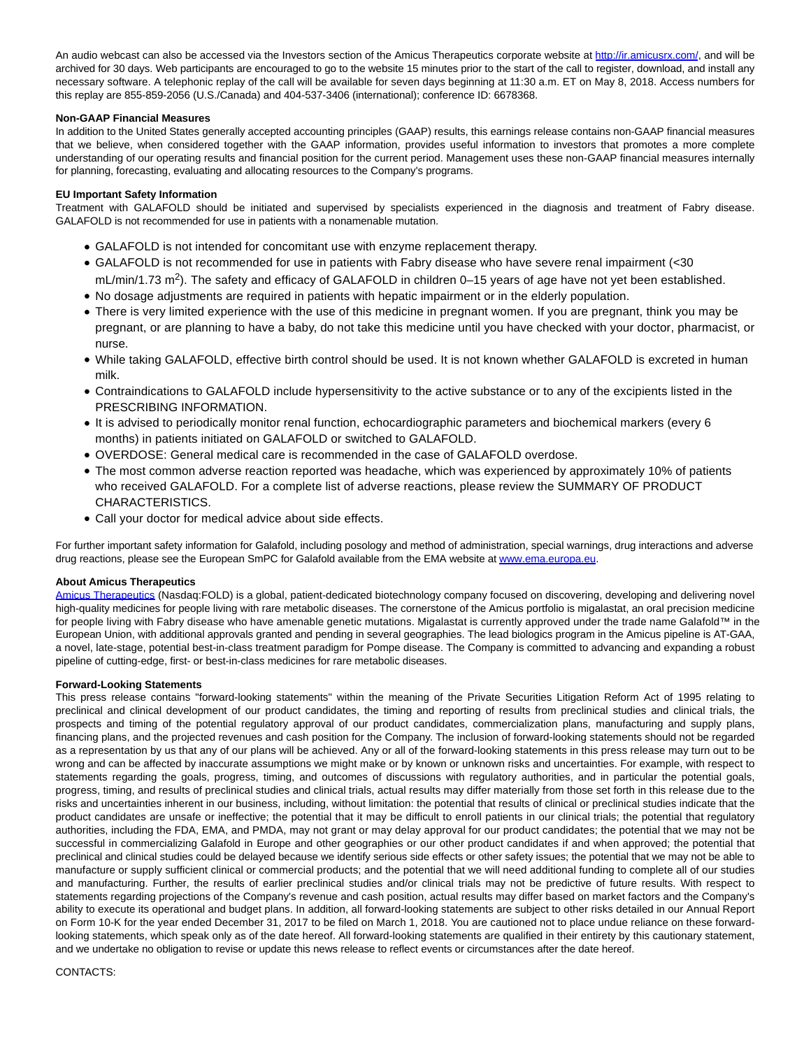An audio webcast can also be accessed via the Investors section of the Amicus Therapeutics corporate website at [http://ir.amicusrx.com/,](https://www.globenewswire.com/Tracker?data=9mXd32B7bzDhE93wDjB01Onc3MASOvQYhlcBgaJ-sWcmiEmDsV_fanVk2h4isGhNnlDSMpnwLSDyFvtx862cQSyodNOR8Q9Tm2x2l27P7o4=) and will be archived for 30 days. Web participants are encouraged to go to the website 15 minutes prior to the start of the call to register, download, and install any necessary software. A telephonic replay of the call will be available for seven days beginning at 11:30 a.m. ET on May 8, 2018. Access numbers for this replay are 855-859-2056 (U.S./Canada) and 404-537-3406 (international); conference ID: 6678368.

### **Non-GAAP Financial Measures**

In addition to the United States generally accepted accounting principles (GAAP) results, this earnings release contains non-GAAP financial measures that we believe, when considered together with the GAAP information, provides useful information to investors that promotes a more complete understanding of our operating results and financial position for the current period. Management uses these non-GAAP financial measures internally for planning, forecasting, evaluating and allocating resources to the Company's programs.

## **EU Important Safety Information**

Treatment with GALAFOLD should be initiated and supervised by specialists experienced in the diagnosis and treatment of Fabry disease. GALAFOLD is not recommended for use in patients with a nonamenable mutation.

- GALAFOLD is not intended for concomitant use with enzyme replacement therapy.
- GALAFOLD is not recommended for use in patients with Fabry disease who have severe renal impairment (<30 mL/min/1.73 m<sup>2</sup>). The safety and efficacy of GALAFOLD in children 0–15 years of age have not yet been established.
- No dosage adjustments are required in patients with hepatic impairment or in the elderly population.
- There is very limited experience with the use of this medicine in pregnant women. If you are pregnant, think you may be pregnant, or are planning to have a baby, do not take this medicine until you have checked with your doctor, pharmacist, or nurse.
- While taking GALAFOLD, effective birth control should be used. It is not known whether GALAFOLD is excreted in human milk.
- Contraindications to GALAFOLD include hypersensitivity to the active substance or to any of the excipients listed in the PRESCRIBING INFORMATION.
- It is advised to periodically monitor renal function, echocardiographic parameters and biochemical markers (every 6 months) in patients initiated on GALAFOLD or switched to GALAFOLD.
- OVERDOSE: General medical care is recommended in the case of GALAFOLD overdose.
- The most common adverse reaction reported was headache, which was experienced by approximately 10% of patients who received GALAFOLD. For a complete list of adverse reactions, please review the SUMMARY OF PRODUCT CHARACTERISTICS.
- Call your doctor for medical advice about side effects.

For further important safety information for Galafold, including posology and method of administration, special warnings, drug interactions and adverse drug reactions, please see the European SmPC for Galafold available from the EMA website a[t www.ema.europa.eu.](https://www.globenewswire.com/Tracker?data=_aNW8i4EYCfzbDdGESqiPsDNt1mbgrrPWHLIo0oQHotY7lD5x9HnTXhxQ3ttIQFhEocdKYzoXEcjtqqU9mlAmQ==)

## **About Amicus Therapeutics**

[Amicus Therapeutics \(](https://www.globenewswire.com/Tracker?data=hicPcqPQy8nxQ_WKVbaEecVijiUcvHJLj4JpR12seXyYlrROfQ1ygsvHtM_eGh6ruIZi7zEZEG0RWasr3QGygPLO-S_4FX35LGVPNYU51LQ=)Nasdaq:FOLD) is a global, patient-dedicated biotechnology company focused on discovering, developing and delivering novel high-quality medicines for people living with rare metabolic diseases. The cornerstone of the Amicus portfolio is migalastat, an oral precision medicine for people living with Fabry disease who have amenable genetic mutations. Migalastat is currently approved under the trade name Galafold™ in the European Union, with additional approvals granted and pending in several geographies. The lead biologics program in the Amicus pipeline is AT-GAA, a novel, late-stage, potential best-in-class treatment paradigm for Pompe disease. The Company is committed to advancing and expanding a robust pipeline of cutting-edge, first- or best-in-class medicines for rare metabolic diseases.

#### **Forward-Looking Statements**

This press release contains "forward-looking statements" within the meaning of the Private Securities Litigation Reform Act of 1995 relating to preclinical and clinical development of our product candidates, the timing and reporting of results from preclinical studies and clinical trials, the prospects and timing of the potential regulatory approval of our product candidates, commercialization plans, manufacturing and supply plans, financing plans, and the projected revenues and cash position for the Company. The inclusion of forward-looking statements should not be regarded as a representation by us that any of our plans will be achieved. Any or all of the forward-looking statements in this press release may turn out to be wrong and can be affected by inaccurate assumptions we might make or by known or unknown risks and uncertainties. For example, with respect to statements regarding the goals, progress, timing, and outcomes of discussions with regulatory authorities, and in particular the potential goals, progress, timing, and results of preclinical studies and clinical trials, actual results may differ materially from those set forth in this release due to the risks and uncertainties inherent in our business, including, without limitation: the potential that results of clinical or preclinical studies indicate that the product candidates are unsafe or ineffective; the potential that it may be difficult to enroll patients in our clinical trials; the potential that regulatory authorities, including the FDA, EMA, and PMDA, may not grant or may delay approval for our product candidates; the potential that we may not be successful in commercializing Galafold in Europe and other geographies or our other product candidates if and when approved; the potential that preclinical and clinical studies could be delayed because we identify serious side effects or other safety issues; the potential that we may not be able to manufacture or supply sufficient clinical or commercial products; and the potential that we will need additional funding to complete all of our studies and manufacturing. Further, the results of earlier preclinical studies and/or clinical trials may not be predictive of future results. With respect to statements regarding projections of the Company's revenue and cash position, actual results may differ based on market factors and the Company's ability to execute its operational and budget plans. In addition, all forward-looking statements are subject to other risks detailed in our Annual Report on Form 10-K for the year ended December 31, 2017 to be filed on March 1, 2018. You are cautioned not to place undue reliance on these forwardlooking statements, which speak only as of the date hereof. All forward-looking statements are qualified in their entirety by this cautionary statement, and we undertake no obligation to revise or update this news release to reflect events or circumstances after the date hereof.

#### CONTACTS: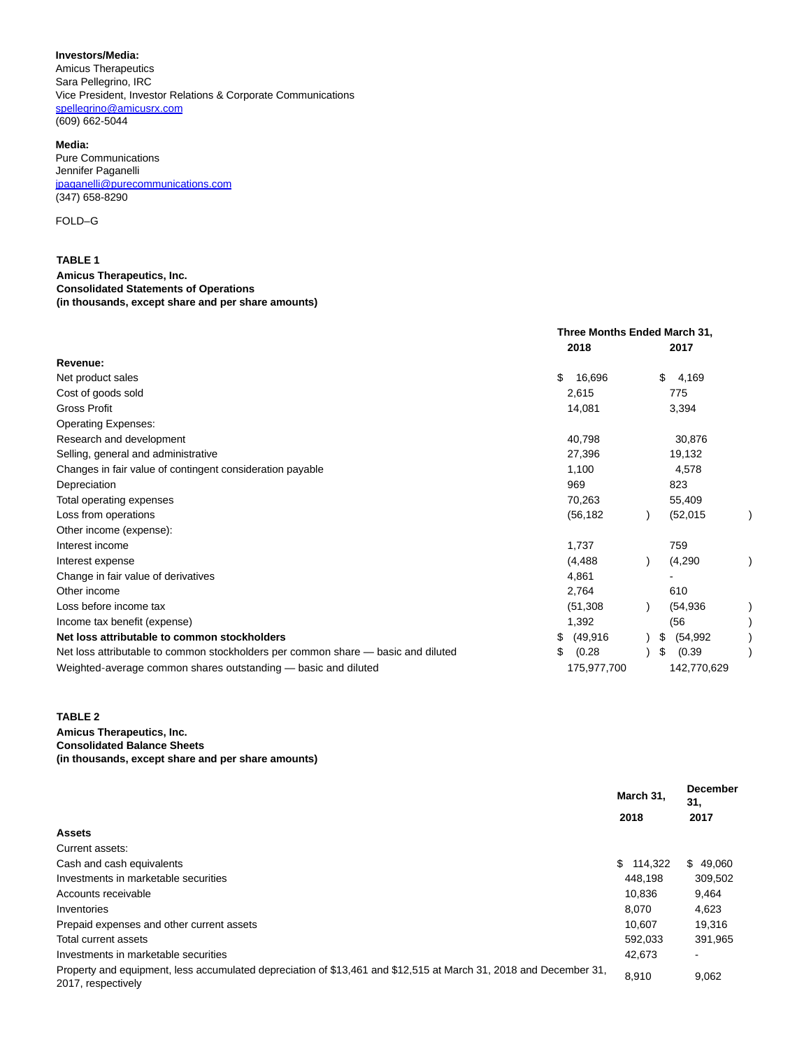#### **Investors/Media:**

Amicus Therapeutics Sara Pellegrino, IRC Vice President, Investor Relations & Corporate Communications [spellegrino@amicusrx.com](https://www.globenewswire.com/Tracker?data=nDU2JY0vUalcD9MfkLAti15gKWHhBMeB1xVTEoPuWcx4H8YTPFBBjgYXROwEFFWKG6OtrsJPTaJ3VXqLjQRI85-p-6-_2CWykNrDiEclhgU=) (609) 662-5044

#### **Media:**

Pure Communications Jennifer Paganelli [jpaganelli@purecommunications.com](https://www.globenewswire.com/Tracker?data=ajkvL6qPoVWLzCmbIDqcACn8hJxXwne_qOT339Ep81V9-6Gyq3NKvIbRZHL8xztFXZruCELK-kfvClG0AVX-qzWSiu4JEg0iyLCf3IvwOI_xF0xqqMGLaHhnYCBfPShdXMwRw-euivrj-N0_ahZ8Kw==) (347) 658-8290

### FOLD–G

## **TABLE 1 Amicus Therapeutics, Inc. Consolidated Statements of Operations**

## **(in thousands, except share and per share amounts)**

|                                                                                   | Three Months Ended March 31, |                 |
|-----------------------------------------------------------------------------------|------------------------------|-----------------|
|                                                                                   | 2018                         | 2017            |
| Revenue:                                                                          |                              |                 |
| Net product sales                                                                 | \$<br>16,696                 | 4,169<br>\$.    |
| Cost of goods sold                                                                | 2,615                        | 775             |
| Gross Profit                                                                      | 14,081                       | 3,394           |
| <b>Operating Expenses:</b>                                                        |                              |                 |
| Research and development                                                          | 40,798                       | 30,876          |
| Selling, general and administrative                                               | 27,396                       | 19,132          |
| Changes in fair value of contingent consideration payable                         | 1,100                        | 4,578           |
| Depreciation                                                                      | 969                          | 823             |
| Total operating expenses                                                          | 70,263                       | 55,409          |
| Loss from operations                                                              | (56, 182)                    | (52, 015)       |
| Other income (expense):                                                           |                              |                 |
| Interest income                                                                   | 1,737                        | 759             |
| Interest expense                                                                  | (4, 488)                     | (4,290)         |
| Change in fair value of derivatives                                               | 4,861                        |                 |
| Other income                                                                      | 2,764                        | 610             |
| Loss before income tax                                                            | (51, 308)                    | (54, 936)       |
| Income tax benefit (expense)                                                      | 1,392                        | (56)            |
| Net loss attributable to common stockholders                                      | \$<br>(49, 916)              | \$<br>(54, 992) |
| Net loss attributable to common stockholders per common share — basic and diluted | \$<br>(0.28)                 | \$<br>(0.39)    |
| Weighted-average common shares outstanding — basic and diluted                    | 175,977,700                  | 142,770,629     |

### **TABLE 2**

**Amicus Therapeutics, Inc. Consolidated Balance Sheets (in thousands, except share and per share amounts)**

|                                                                                                                                         | March 31.<br>2018 | <b>December</b><br>31.<br>2017 |
|-----------------------------------------------------------------------------------------------------------------------------------------|-------------------|--------------------------------|
|                                                                                                                                         |                   |                                |
| <b>Assets</b>                                                                                                                           |                   |                                |
| Current assets:                                                                                                                         |                   |                                |
| Cash and cash equivalents                                                                                                               | \$114,322         | \$49,060                       |
| Investments in marketable securities                                                                                                    | 448.198           | 309.502                        |
| Accounts receivable                                                                                                                     | 10.836            | 9,464                          |
| Inventories                                                                                                                             | 8.070             | 4,623                          |
| Prepaid expenses and other current assets                                                                                               | 10.607            | 19.316                         |
| Total current assets                                                                                                                    | 592,033           | 391,965                        |
| Investments in marketable securities                                                                                                    | 42,673            | $\overline{\phantom{a}}$       |
| Property and equipment, less accumulated depreciation of \$13,461 and \$12,515 at March 31, 2018 and December 31,<br>2017, respectively | 8,910             | 9,062                          |